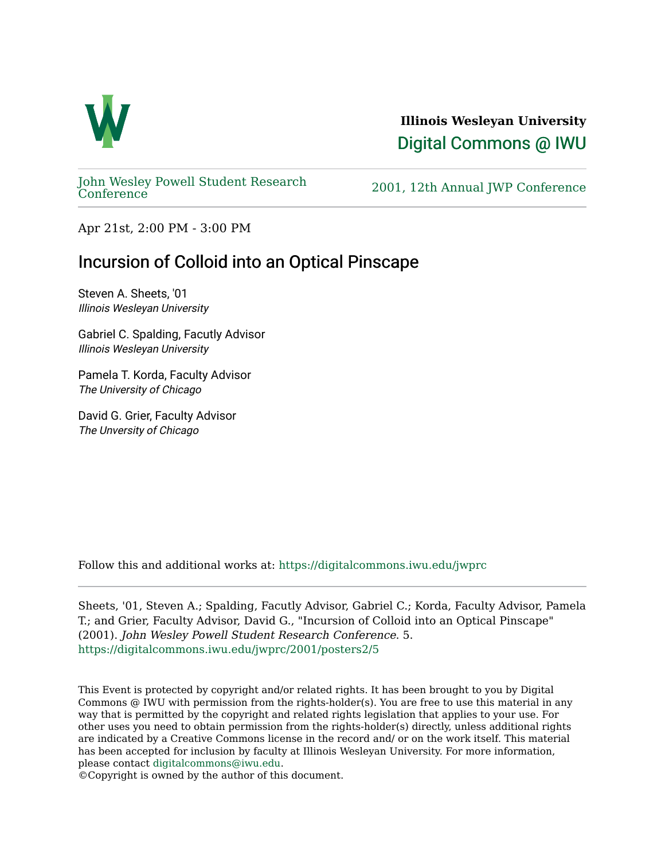

**Illinois Wesleyan University**  [Digital Commons @ IWU](https://digitalcommons.iwu.edu/) 

[John Wesley Powell Student Research](https://digitalcommons.iwu.edu/jwprc) 

2001, 12th Annual JWP [Conference](https://digitalcommons.iwu.edu/jwprc)

Apr 21st, 2:00 PM - 3:00 PM

## Incursion of Colloid into an Optical Pinscape

Steven A. Sheets, '01 Illinois Wesleyan University

Gabriel C. Spalding, Facutly Advisor Illinois Wesleyan University

Pamela T. Korda, Faculty Advisor The University of Chicago

David G. Grier, Faculty Advisor The Unversity of Chicago

Follow this and additional works at: [https://digitalcommons.iwu.edu/jwprc](https://digitalcommons.iwu.edu/jwprc?utm_source=digitalcommons.iwu.edu%2Fjwprc%2F2001%2Fposters2%2F5&utm_medium=PDF&utm_campaign=PDFCoverPages) 

Sheets, '01, Steven A.; Spalding, Facutly Advisor, Gabriel C.; Korda, Faculty Advisor, Pamela T.; and Grier, Faculty Advisor, David G., "Incursion of Colloid into an Optical Pinscape" (2001). John Wesley Powell Student Research Conference. 5. [https://digitalcommons.iwu.edu/jwprc/2001/posters2/5](https://digitalcommons.iwu.edu/jwprc/2001/posters2/5?utm_source=digitalcommons.iwu.edu%2Fjwprc%2F2001%2Fposters2%2F5&utm_medium=PDF&utm_campaign=PDFCoverPages)

This Event is protected by copyright and/or related rights. It has been brought to you by Digital Commons @ IWU with permission from the rights-holder(s). You are free to use this material in any way that is permitted by the copyright and related rights legislation that applies to your use. For other uses you need to obtain permission from the rights-holder(s) directly, unless additional rights are indicated by a Creative Commons license in the record and/ or on the work itself. This material has been accepted for inclusion by faculty at Illinois Wesleyan University. For more information, please contact [digitalcommons@iwu.edu.](mailto:digitalcommons@iwu.edu)

©Copyright is owned by the author of this document.